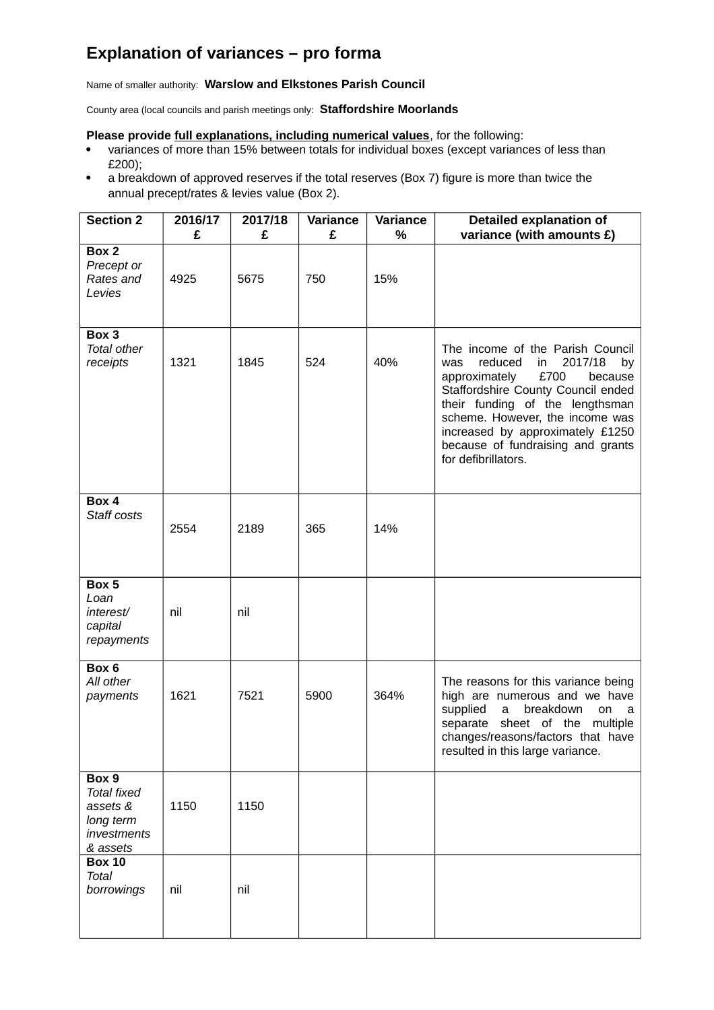## **Explanation of variances – pro forma**

Name of smaller authority: **Warslow and Elkstones Parish Council**

County area (local councils and parish meetings only: **Staffordshire Moorlands**

## **Please provide full explanations, including numerical values**, for the following:

- variances of more than 15% between totals for individual boxes (except variances of less than £200);
- a breakdown of approved reserves if the total reserves (Box 7) figure is more than twice the annual precept/rates & levies value (Box 2).

| <b>Section 2</b>                                                                | 2016/17<br>£ | 2017/18<br>£ | Variance<br>£ | Variance<br>% | Detailed explanation of<br>variance (with amounts £)                                                                                                                                                                                                                                                                      |
|---------------------------------------------------------------------------------|--------------|--------------|---------------|---------------|---------------------------------------------------------------------------------------------------------------------------------------------------------------------------------------------------------------------------------------------------------------------------------------------------------------------------|
| Box 2<br>Precept or<br>Rates and<br>Levies                                      | 4925         | 5675         | 750           | 15%           |                                                                                                                                                                                                                                                                                                                           |
| Box 3<br><b>Total other</b><br>receipts                                         | 1321         | 1845         | 524           | 40%           | The income of the Parish Council<br>reduced<br>2017/18<br>was<br>in<br>by<br>£700<br>approximately<br>because<br>Staffordshire County Council ended<br>their funding of the lengthsman<br>scheme. However, the income was<br>increased by approximately £1250<br>because of fundraising and grants<br>for defibrillators. |
| Box 4<br>Staff costs                                                            | 2554         | 2189         | 365           | 14%           |                                                                                                                                                                                                                                                                                                                           |
| Box 5<br>Loan<br>interest/<br>capital<br>repayments                             | nil          | nil          |               |               |                                                                                                                                                                                                                                                                                                                           |
| Box 6<br>All other<br>payments                                                  | 1621         | 7521         | 5900          | 364%          | The reasons for this variance being<br>high are numerous and we have<br>supplied<br>breakdown<br>a<br>on<br>a<br>separate<br>sheet of the<br>multiple<br>changes/reasons/factors that have<br>resulted in this large variance.                                                                                            |
| Box 9<br><b>Total fixed</b><br>assets &<br>long term<br>investments<br>& assets | 1150         | 1150         |               |               |                                                                                                                                                                                                                                                                                                                           |
| <b>Box 10</b><br><b>Total</b><br>borrowings                                     | nil          | nil          |               |               |                                                                                                                                                                                                                                                                                                                           |